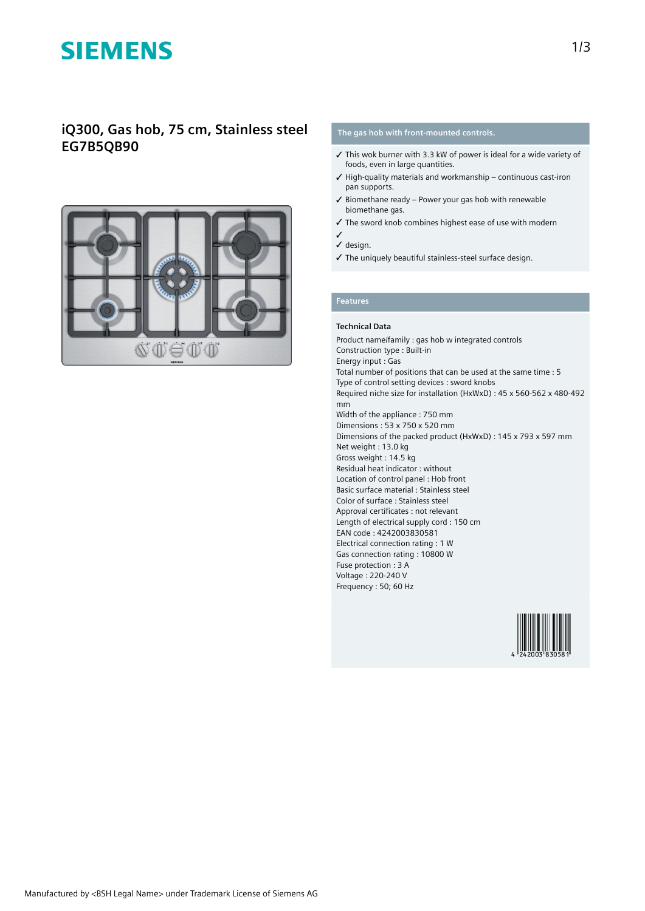# **SIEMENS**

## **iQ300, Gas hob, 75 cm, Stainless steel EG7B5QB90**



## **The gas hob with front-mounted controls.**

- ✓ This wok burner with 3.3 kW of power is ideal for a wide variety of foods, even in large quantities.
- $\checkmark$  High-quality materials and workmanship continuous cast-iron pan supports.
- $\checkmark$  Biomethane ready Power your gas hob with renewable biomethane gas.
- ✓ The sword knob combines highest ease of use with modern
- ✓ ✓ design.
- ✓ The uniquely beautiful stainless-steel surface design.

### **Features**

### **Technical Data**

Product name/family : gas hob w integrated controls Construction type : Built-in Energy input : Gas Total number of positions that can be used at the same time : 5 Type of control setting devices : sword knobs Required niche size for installation (HxWxD) : 45 x 560-562 x 480-492 mm Width of the appliance : 750 mm Dimensions : 53 x 750 x 520 mm Dimensions of the packed product (HxWxD) : 145 x 793 x 597 mm Net weight : 13.0 kg Gross weight : 14.5 kg Residual heat indicator : without Location of control panel : Hob front Basic surface material : Stainless steel Color of surface : Stainless steel Approval certificates : not relevant Length of electrical supply cord : 150 cm EAN code : 4242003830581 Electrical connection rating : 1 W Gas connection rating : 10800 W Fuse protection : 3 A Voltage : 220-240 V Frequency : 50; 60 Hz

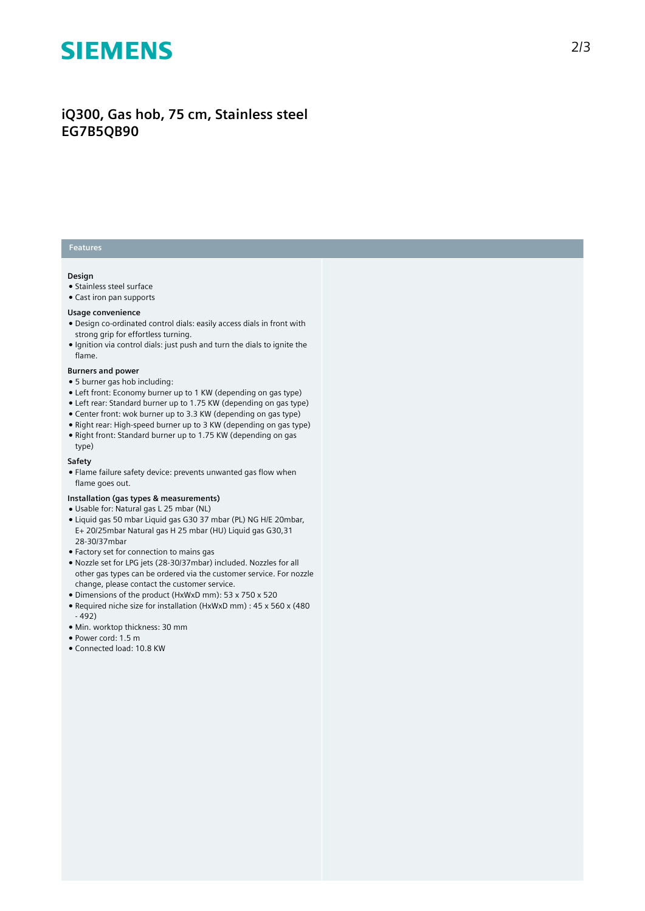# **SIEMENS**

# **iQ300, Gas hob, 75 cm, Stainless steel EG7B5QB90**

## **Features**

#### **Design**

- Stainless steel surface
- Cast iron pan supports

#### **Usage convenience**

- Design co-ordinated control dials: easily access dials in front with strong grip for effortless turning.
- Ignition via control dials: just push and turn the dials to ignite the flame.

#### **Burners and power**

- 5 burner gas hob including:
- Left front: Economy burner up to 1 KW (depending on gas type)
- Left rear: Standard burner up to 1.75 KW (depending on gas type)
- Center front: wok burner up to 3.3 KW (depending on gas type)
- Right rear: High-speed burner up to 3 KW (depending on gas type) ● Right front: Standard burner up to 1.75 KW (depending on gas type)

#### **Safety**

● Flame failure safety device: prevents unwanted gas flow when flame goes out.

#### **Installation (gas types & measurements)**

- Usable for: Natural gas L 25 mbar (NL)
- Liquid gas 50 mbar Liquid gas G30 37 mbar (PL) NG H/E 20mbar, E+ 20/25mbar Natural gas H 25 mbar (HU) Liquid gas G30,31 28-30/37mbar
- Factory set for connection to mains gas
- Nozzle set for LPG jets (28-30/37mbar) included. Nozzles for all other gas types can be ordered via the customer service. For nozzle change, please contact the customer service.
- Dimensions of the product (HxWxD mm): 53 x 750 x 520
- Required niche size for installation (HxWxD mm) : 45 x 560 x (480 - 492)
- Min. worktop thickness: 30 mm
- Power cord: 1.5 m
- Connected load: 10.8 KW